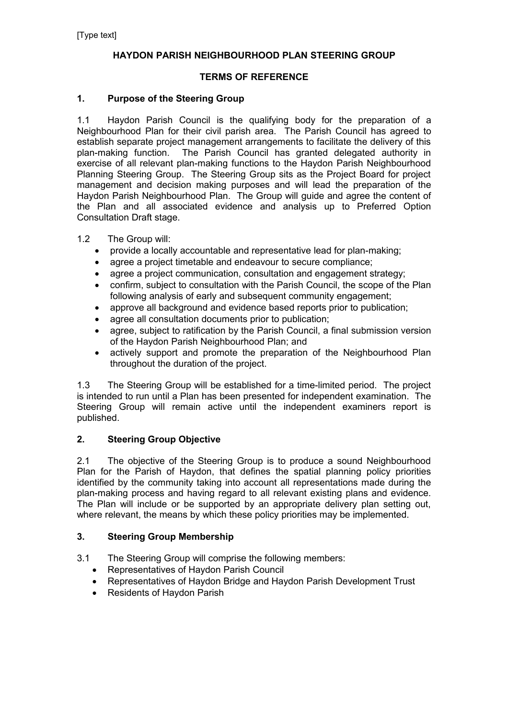## **HAYDON PARISH NEIGHBOURHOOD PLAN STEERING GROUP**

### **TERMS OF REFERENCE**

### **1. Purpose of the Steering Group**

1.1 Haydon Parish Council is the qualifying body for the preparation of a Neighbourhood Plan for their civil parish area. The Parish Council has agreed to establish separate project management arrangements to facilitate the delivery of this plan-making function. The Parish Council has granted delegated authority in exercise of all relevant plan-making functions to the Haydon Parish Neighbourhood Planning Steering Group. The Steering Group sits as the Project Board for project management and decision making purposes and will lead the preparation of the Haydon Parish Neighbourhood Plan. The Group will guide and agree the content of the Plan and all associated evidence and analysis up to Preferred Option Consultation Draft stage.

#### 1.2 The Group will:

- provide a locally accountable and representative lead for plan-making:
- agree a project timetable and endeavour to secure compliance;
- agree a project communication, consultation and engagement strategy;
- confirm, subject to consultation with the Parish Council, the scope of the Plan following analysis of early and subsequent community engagement;
- approve all background and evidence based reports prior to publication;
- agree all consultation documents prior to publication;
- agree, subject to ratification by the Parish Council, a final submission version of the Haydon Parish Neighbourhood Plan; and
- actively support and promote the preparation of the Neighbourhood Plan throughout the duration of the project.

1.3 The Steering Group will be established for a time-limited period. The project is intended to run until a Plan has been presented for independent examination. The Steering Group will remain active until the independent examiners report is published.

#### **2. Steering Group Objective**

2.1 The objective of the Steering Group is to produce a sound Neighbourhood Plan for the Parish of Haydon, that defines the spatial planning policy priorities identified by the community taking into account all representations made during the plan-making process and having regard to all relevant existing plans and evidence. The Plan will include or be supported by an appropriate delivery plan setting out, where relevant, the means by which these policy priorities may be implemented.

#### **3. Steering Group Membership**

- 3.1 The Steering Group will comprise the following members:
	- Representatives of Haydon Parish Council
	- Representatives of Haydon Bridge and Haydon Parish Development Trust
	- Residents of Haydon Parish